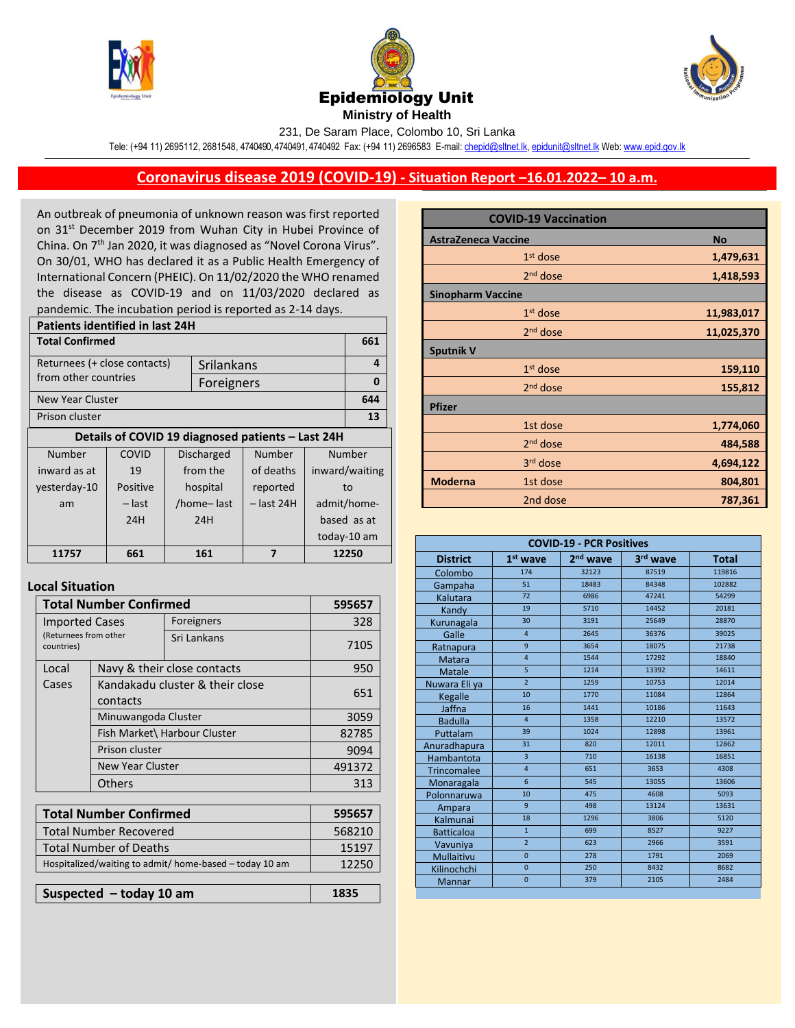





231, De Saram Place, Colombo 10, Sri Lanka

Tele: (+94 11) 2695112, 2681548, 4740490, 4740491, 4740492 Fax: (+94 11) 2696583 E-mail[: chepid@sltnet.lk,](mailto:chepi@sltnet.lk) [epidunit@sltnet.lk](mailto:epidunit@sltnet.lk) Web[: www.epid.gov.lk](http://www.epid.gov.lk/)

## **Coronavirus disease 2019 (COVID-19) - Situation Report –16.01.2022– 10 a.m.**

An outbreak of pneumonia of unknown reason was first reported on 31<sup>st</sup> December 2019 from Wuhan City in Hubei Province of China. On 7<sup>th</sup> Jan 2020, it was diagnosed as "Novel Corona Virus". On 30/01, WHO has declared it as a Public Health Emergency of International Concern (PHEIC). On 11/02/2020 the WHO renamed the disease as COVID-19 and on 11/03/2020 declared as pandemic. The incubation period is reported as 2-14 days.

| <b>Patients identified in last 24H</b>            |          |                             |            |              |                |     |
|---------------------------------------------------|----------|-----------------------------|------------|--------------|----------------|-----|
| <b>Total Confirmed</b>                            |          |                             |            |              |                | 661 |
| Returnees (+ close contacts)<br>Srilankans        |          |                             |            |              | 4              |     |
| from other countries                              |          |                             | Foreigners |              |                | 0   |
| New Year Cluster                                  |          |                             |            |              | 644            |     |
| Prison cluster                                    |          |                             |            |              | 13             |     |
| Details of COVID 19 diagnosed patients - Last 24H |          |                             |            |              |                |     |
| Number                                            | COVID    | Number<br><b>Discharged</b> |            |              | Number         |     |
| inward as at                                      | 19       | from the                    |            | of deaths    | inward/waiting |     |
| yesterday-10                                      | Positive |                             | hospital   | reported     | to             |     |
| am                                                | – last   |                             | /home-last | $-$ last 24H | admit/home-    |     |
|                                                   | 24H      |                             | 24H        |              | based as at    |     |
|                                                   |          |                             |            |              | today-10 am    |     |
| 11757                                             | 661      | 161<br>7                    |            | 12250        |                |     |
|                                                   |          |                             |            |              |                |     |

## **Local Situation**

| <b>Total Number Confirmed</b>                                | 595657                                      |                              |        |  |  |  |
|--------------------------------------------------------------|---------------------------------------------|------------------------------|--------|--|--|--|
| <b>Imported Cases</b><br>(Returnees from other<br>countries) |                                             | Foreigners                   | 328    |  |  |  |
|                                                              |                                             | Sri Lankans                  | 7105   |  |  |  |
| Local                                                        |                                             | Navy & their close contacts  | 950    |  |  |  |
| Cases                                                        | Kandakadu cluster & their close<br>contacts | 651                          |        |  |  |  |
|                                                              | Minuwangoda Cluster                         |                              | 3059   |  |  |  |
|                                                              |                                             | Fish Market\ Harbour Cluster | 82785  |  |  |  |
|                                                              | Prison cluster                              |                              | 9094   |  |  |  |
| New Year Cluster                                             |                                             |                              | 491372 |  |  |  |
|                                                              | <b>Others</b>                               | 313                          |        |  |  |  |
|                                                              |                                             |                              |        |  |  |  |
|                                                              | <b>Total Number Confirmed</b>               |                              |        |  |  |  |
| <b>Total Number Recovered</b>                                |                                             |                              | 568210 |  |  |  |
| <b>Total Number of Deaths</b>                                |                                             |                              | 15197  |  |  |  |
| Hospitalized/waiting to admit/ home-based - today 10 am      |                                             |                              | 12250  |  |  |  |
|                                                              |                                             |                              |        |  |  |  |
| Suspected $-$ today 10 am                                    |                                             |                              | 1835   |  |  |  |

|                            | <b>COVID-19 Vaccination</b> |  |            |
|----------------------------|-----------------------------|--|------------|
| <b>AstraZeneca Vaccine</b> |                             |  | <b>No</b>  |
|                            | $1st$ dose                  |  | 1,479,631  |
|                            | 2 <sup>nd</sup> dose        |  | 1,418,593  |
| <b>Sinopharm Vaccine</b>   |                             |  |            |
|                            | $1st$ dose                  |  | 11,983,017 |
|                            | $2nd$ dose                  |  | 11,025,370 |
| <b>Sputnik V</b>           |                             |  |            |
|                            | $1st$ dose                  |  | 159,110    |
|                            | $2nd$ dose                  |  | 155,812    |
| <b>Pfizer</b>              |                             |  |            |
|                            | 1st dose                    |  | 1,774,060  |
|                            | 2 <sup>nd</sup> dose        |  | 484,588    |
|                            | 3rd dose                    |  | 4,694,122  |
| <b>Moderna</b>             | 1st dose                    |  | 804,801    |
|                            | 2nd dose                    |  | 787,361    |

| <b>COVID-19 - PCR Positives</b> |                 |                      |          |              |  |
|---------------------------------|-----------------|----------------------|----------|--------------|--|
| <b>District</b>                 | $1st$ wave      | 2 <sup>nd</sup> wave | 3rd wave | <b>Total</b> |  |
| Colombo                         | 174             | 32123                | 87519    | 119816       |  |
| Gampaha                         | 51              | 18483                | 84348    | 102882       |  |
| Kalutara                        | 72              | 6986                 | 47241    | 54299        |  |
| Kandy                           | 19              | 5710                 | 14452    | 20181        |  |
| Kurunagala                      | 30              | 3191                 | 25649    | 28870        |  |
| Galle                           | $\overline{4}$  | 2645                 | 36376    | 39025        |  |
| Ratnapura                       | 9               | 3654                 | 18075    | 21738        |  |
| <b>Matara</b>                   | $\overline{4}$  | 1544                 | 17292    | 18840        |  |
| Matale                          | $\overline{5}$  | 1214                 | 13392    | 14611        |  |
| Nuwara Eliya                    | $\overline{2}$  | 1259                 | 10753    | 12014        |  |
| Kegalle                         | 10              | 1770                 | 11084    | 12864        |  |
| Jaffna                          | 16              | 1441                 | 10186    | 11643        |  |
| <b>Badulla</b>                  | $\overline{4}$  | 1358                 | 12210    | 13572        |  |
| Puttalam                        | 39              | 1024                 | 12898    | 13961        |  |
| Anuradhapura                    | 31              | 820                  | 12011    | 12862        |  |
| Hambantota                      | $\overline{3}$  | 710                  | 16138    | 16851        |  |
| <b>Trincomalee</b>              | $\overline{4}$  | 651                  | 3653     | 4308         |  |
| Monaragala                      | $6\overline{6}$ | 545                  | 13055    | 13606        |  |
| Polonnaruwa                     | 10              | 475                  | 4608     | 5093         |  |
| Ampara                          | 9               | 498                  | 13124    | 13631        |  |
| Kalmunai                        | 18              | 1296                 | 3806     | 5120         |  |
| <b>Batticaloa</b>               | $\mathbf{1}$    | 699                  | 8527     | 9227         |  |
| Vavuniya                        | $\overline{2}$  | 623                  | 2966     | 3591         |  |
| Mullaitivu                      | $\overline{0}$  | 278                  | 1791     | 2069         |  |
| Kilinochchi                     | $\overline{0}$  | 250                  | 8432     | 8682         |  |
| Mannar                          | $\overline{0}$  | 379                  | 2105     | 2484         |  |